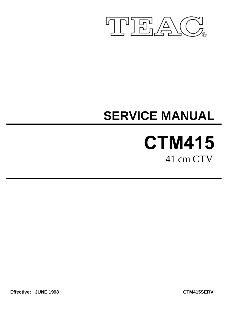

# **SERVICE MANUAL**

# **CTM415** 41 cm CTV

**Effective: JUNE 1998 CTM415SERV**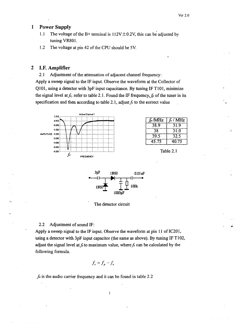### **Power Supply**  $\mathbf{1}$

- $1.1$ The voltage of the B+ terminal is  $112V \pm 0.2V$ , this can be adjusted by tuning VR801.
- The voltage at pin 42 of the CPU should be 5V.  $1.2$

### $\overline{2}$ I.F. Amplifier

Adjustment of the attenuation of adjacent channel frequency:  $2.1$ Apply a sweep signal to the IF input. Observe the waveform at the Collector of Q101, using a detector with 3pF input capacitance. By tuning IF T101, minimize the signal level at  $f_c$ , refer to table 2.1. Found the IF frequency,  $f_p$  of the tuner in its specification and then according to table 2.1, adjust  $f_c$  to the correct value



| fp/MHz | $f_c$ / MHz |
|--------|-------------|
| 38.9   | 31.9        |
| 38     | 31.0        |
| 39.5   | 32.5        |
| 45.75  | 40.75       |

Table 2.1



The detector circuit

#### $2.2$ Adjustment of sound IF:

Apply a sweep signal to the IF input. Observe the waveform at pin 11 of IC201, using a detector with 3pF input capacitor (the same as above). By tuning IF T102, adjust the signal level at  $f_s$  to maximum value, where  $f_s$  can be calculated by the following formula.

 $\mathbf{1}$ 

$$
f_{s} = f_{p} - f_{a}
$$

 $f_a$  is the audio carrier frequency and it can be found in table 2.2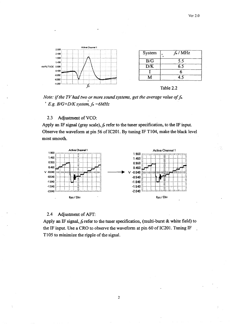



### $2.3$ Adjustment of VCO:

Apply an IF signal (gray scale),  $f_p$  refer to the tuner specification, to the IF input. Observe the waveform at pin 56 of IC201. By tuning IF T104, make the black level most smooth.



### Adjustment of AFT:  $2.4$

Apply an IF signal,  $f_p$  refer to the tuner specification, (multi-burst & white field) to the IF input. Use a CRO to observe the waveform at pin 60 of IC201. Tuning IF T105 to minimize the ripple of the signal.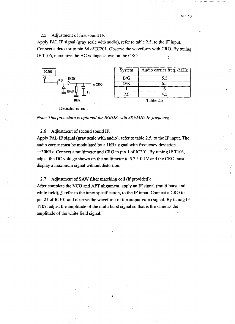遭

 $2.5$ Adjustment of first sound IF:

Apply PAL IF signal (gray scale with audio), refer to table 2.5, to the IF input. Connect a detector to pin 64 of IC201. Observe the waveform with CRO. By tuning IF T106, maximize the AC voltage shown on the CRO.



Detector circuit



#### Adjustment of second sound IF: 2.6

Apply PAL IF signal (gray scale with audio), refer to table 2.5, to the IF input. The audio carrier must be modulated by a 1kHz signal with frequency deviation  $\pm$ 30kHz. Connect a multimeter and CRO to pin 1 of IC201. By tuning IF T103, adjust the DC voltage shown on the multimeter to  $5.2 \pm 0.1$ V and the CRO must display a maximum signal without distortion.

 $2.7$ Adjustment of SAW filter matching coil (if provided):

After complete the VCO and AFT alignment, apply an IF signal (multi burst and white field),  $f_p$  refer to the tuner specification, to the IF input. Connect a CRO to pin 21 of IC101 and observe the waveform of the output video signal. By tuning IF T107, adjust the amplitude of the multi burst signal so that is the same as the amplitude of the white field signal.

 $\overline{\mathbf{3}}$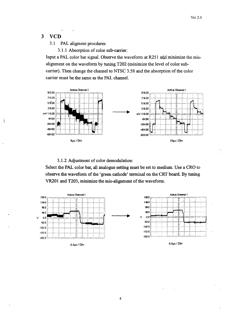#### $\overline{\mathbf{3}}$ **VCD**

-3

#### $3.1$ PAL aligment procdures

3.1.1 Absorption of color sub-carrier:

Input a PAL color bar signal. Observe the waveform at R251 and minimize the misalignment on the waveform by tuning T202 (minimize the level of color subcarrier). Then change the channel to NTSC 3.58 and the absorption of the color carrier must be the same as the PAL channel.



3.1.2 Adjustment of color demodulation:

Select the PAL color bar, all analogue setting must be set to medium. Use a CRO to observe the waveform of the 'green cathode' terminal on the CRT board. By tuning VR201 and T203, minimize the mis-alignment of the waveform.



 $\overline{\mathbf{4}}$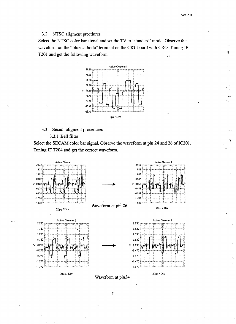潼

 $\mathbb{R}^3$ 

#### $3.2$ NTSC aligment procdures

Select the NTSC color bar signal and set the TV to 'standard' mode. Observe the waveform on the "blue cathode" terminal on the CRT board with CRO. Tuning IF T201 and get the following waveform.



#### $3.3$ Secam aligment procedures

## 3.3.1 Bell filter

Select the SECAM color bar signal. Observe the waveform at pin 24 and 26 of IC201. Tuning IF T204 and get the correct waveform.



5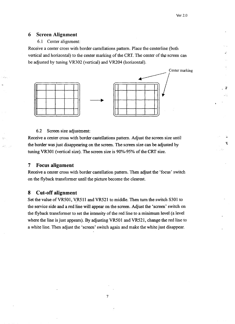塘

#### 6 **Screen Alignment**

6.1 Center alignment:

Receive a center cross with border castellations pattern. Place the centerline (both vertical and horizontal) to the center marking of the CRT. The center of the screen can be adjusted by tuning VR302 (vertical) and VR204 (horizontal).



#### 6.2 Screen size adjustment:

Receive a center cross with border castellations pattern. Adjust the screen size until the border was just disappearing on the screen. The screen size can be adjusted by tuning VR301 (vertical size). The screen size is 90%-95% of the CRT size.

#### 7 **Focus alignment**

Receive a center cross with border castellation pattern. Then adjust the 'focus' switch on the flyback transformer until the picture become the clearest.

#### 8 **Cut-off alignment**

Set the value of VR501, VR511 and VR521 to middle. Then turn the switch S301 to the service side and a red line will appear on the screen. Adjust the 'screen' switch on the flyback transformer to set the intensity of the red line to a minimum level (a level where the line is just appears). By adjusting VR501 and VR521, change the red line to a white line. Then adjust the 'screen' switch again and make the white just disappear.

 $\overline{7}$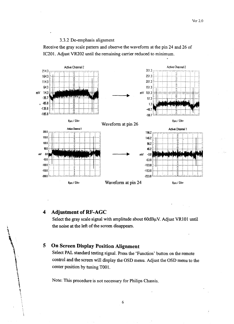### 3.3.2 De-emphasis alignment

Receive the gray scale pattern and observe the waveform at the pin 24 and 26 of IC201. Adjust VR202 until the remaining carrier reduced to minimum.



### **Adjustment of RF-AGC** 4

معادد المعاصر المد

Select the gray scale signal with amplitude about 60dBµV. Adjust VR101 until the noise at the left of the screen disappears.

### **On Screen Display Position Alignment** 5

Select PAL standard testing signal. Press the 'Function' button on the remote control and the screen will display the OSD menu. Adjust the OSD menu to the center position by tuning T001.

Note: This procedure is not necessary for Philips Chassis.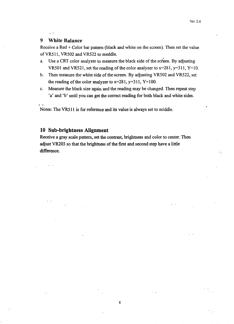### 9 **White Balance**

Receive a Red + Color bar pattern (black and white on the screen). Then set the value of VR511, VR502 and VR522 to meddle.

- Use a CRT color analyzer to measure the black side of the screen. By adjusting a. VR501 and VR521, set the reading of the color analyzer to  $x=281$ ,  $y=311$ ,  $Y=10$ .
- b. Then measure the white side of the screen. By adjusting VR502 and VR522, set the reading of the color analyzer to  $x=281$ ,  $y=311$ ,  $Y=100$ .
- Measure the black size again and the reading may be changed. Then repeat step  $c.$ 'a' and 'b' until you can get the correct reading for both black and white sides.

Notes: The VR511 is for reference and its value is always set to middle.

# 10 Sub-brightness Alignment

Receive a gray scale pattern, set the contrast, brightness and color to center. Then adjust VR203 so that the brightness of the first and second step have a little difference.

 $\bf{8}$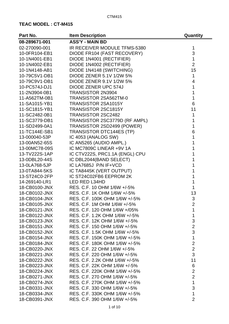| Part No.      | <b>Item Description</b>         | Quantity       |
|---------------|---------------------------------|----------------|
| 08-289671-001 | <b>ASS'Y - MAIN BD</b>          |                |
| 02-270090-001 | IR RECEIVER MODULE TFMS-5380    | 1              |
| 10-0FR104-EB1 | DIODE FR104 (FAST RECOVERY)     | 3              |
| 10-1N4001-EB1 | DIODE 1N4001 (RECTIFIER)        | 1              |
| 10-1N4002-EB1 | DIODE 1N4002 (RECTIFIER)        | $\overline{2}$ |
| 10-1N4148-AB1 | DIODE 1N4148 (SWITCHING)        | 15             |
| 10-79C5V1-DB1 | <b>DIODE ZENER 5.1V 1/2W 5%</b> | 1              |
| 10-79C9V1-DB1 | DIODE ZENER 9.1V 1/2W 5%        | $\overline{4}$ |
| 10-PC574J-DJ1 | DIODE ZENER UPC 574J            | 1              |
| 11-2N3904-0B1 | <b>TRANSISTOR 2N3904</b>        | 1              |
| 11-A562TM-0B1 | TRANSISTOR 2SA562TM-0           | 1              |
| 11-SA1015-YB1 | <b>TRANSISTOR 2SA1015Y</b>      | 6              |
| 11-SC1815-YB1 | <b>TRANSISTOR 2SC1815Y</b>      | 11             |
| 11-SC2482-0B1 | TRANSISTOR 2SC2482              | 1              |
| 11-SC3779-DB1 | TRANSISTOR 2SC3779D (RF AMPL)   | 1              |
| 11-SD2499-0A1 | TRANSISTOR 2SD2499 (POWER)      | 1              |
| 11-TC144E-SB1 | <b>TRANSISTOR DTC144ES (TP)</b> | 6              |
| 13-000040-53P | IC 4053 (ANALOG SW)             | 1              |
| 13-00AN52-65S | IC AN5265 (AUDIO AMPL.)         | 1              |
| 13-00MC78-09S | IC MC7809C LINEAR +9V 1A        |                |
| 13-TV222S-1AP | IC CTV222S, PRC1.1A (ENGL) CPU  | 1              |
| 13-0DBL20-44S | IC DBL2044(BAND SELECT)         | 1              |
| 13-0LA768-5JP | IC LA7685J P/N IF+VCD           |                |
| 13-0TA844-5KS | IC TA8445K (VERT OUTPUT)        | 1              |
| 13-ST24C0-2FP | IC ST24C02FB6 EEPROM 2K         |                |
| 14-269140-LR1 | LED RED L34HD                   | 1              |
| 18-CB0100-JNX | RES. C.F. 10 OHM 1/6W +/-5%     | 1              |
| 18-CB0102-JNX | RES. C.F. 1K OHM 1/6W +/-5%     | 13             |
| 18-CB0104-JNX | RES. C.F. 100K OHM 1/6W +/-5%   | 3              |
| 18-CB0105-JNX | RES. C.F. 1M OHM 1/6W +/-5%     | $\overline{2}$ |
| 18-CB0121-JNX | RES. C.F. 120 OHM 1/6W +/05%    | 1              |
| 18-CB0122-JNX | RES. C.F. 1.2K OHM 1/6W +/-5%   | $\mathbf{1}$   |
| 18-CB0123-JNX | RES. C.F. 12K OHM 1/6W +/-5%    | 3              |
| 18-CB0151-JNX | RES, C.F. 150 OHM 1/6W +/-5%    | $\overline{2}$ |
| 18-CB0152-JNX | RES. C.F. 1.5K OHM 1/6W +/-5%   | 3              |
| 18-CB0154-JNX | RES. C.F. 150K OHM 1/6W +/-5%   | $\mathbf{1}$   |
| 18-CB0184-JNX | RES. C.F. 180K OHM 1/6W +/-5%   | $\overline{2}$ |
| 18-CB0220-JNX | RES. C.F. 22 OHM 1/6W +/-5%     | $\overline{2}$ |
| 18-CB0221-JNX | RES. C.F. 220 OHM 1/6W +/-5%    | 3              |
| 18-CB0222-JNX | RES. C.F. 2.2K OHM 1/6W +/-5%   | 11             |
| 18-CB0223-JNX | RES. C.F. 22K OHM 1/6W +/-5%    | 6              |
| 18-CB0224-JNX | RES. C.F. 220K OHM 1/6W +/-5%   | $\overline{2}$ |
| 18-CB0271-JNX | RES. C.F. 270 OHM 1/6W +/-5%    | $\overline{2}$ |
| 18-CB0274-JNX | RES. C.F. 270K OHM 1/6W +/-5%   | $\mathbf{1}$   |
| 18-CB0331-JNX | RES. C.F. 330 OHM 1/6W +/-5%    | 3              |
| 18-CB0334-JNX | RES. C.F. 330K OHM 1/6W +/-5%   | 1              |
| 18-CB0391-JNX | RES. C.F. 390 OHM 1/6W +/-5%    | $\overline{2}$ |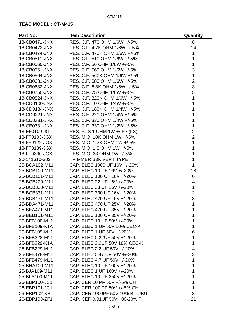| Part No.      | <b>Item Description</b>        | Quantity       |
|---------------|--------------------------------|----------------|
| 18-CB0471-JNX | RES, C.F. 470 OHM 1/6W +/-5%   | 8              |
| 18-CB0472-JNX | RES, C.F. 4.7K OHM 1/6W +/-5%  | 14             |
| 18-CB0474-JNX | RES. C.F. 470K OHM 1/6W +/-5%  | 1              |
| 18-CB0511-JNX | RES. C.F. 510 OHM 1/6W +/-5%   | 1              |
| 18-CB0560-JNX | RES. C.F. 56 OHM 1/6W +/-5%    | 1              |
| 18-CB0561-JNX | RES. C.F. 560 OHM 1/6W +/-5%   | 3              |
| 18-CB0564-JNX | RES. C.F. 560K OHM 1/6W +/-5%  | 1              |
| 18-CB0681-JNX | RES. C.F. 680 OHM 1/6W +/-5%   | $\overline{2}$ |
| 18-CB0682-JNX | RES. C.F. 6.8K OHM 1/6W +/-5%  | 3              |
| 18-CB0750-JNX | RES. C.F. 75 OHM 1/6W +/-5%    | 5              |
| 18-CB0824-JNX | RES. C.F. 820K OHM 1/6W +/-5%  | 1              |
| 18-CD0100-JNX | RES. C.F. 10 OHM 1/4W +/-5%    | 1              |
| 18-CD0184-JNX | RES. C.F. 180K OHM 1/4W +/-5%  | 1              |
| 18-CD0221-JNX | RES. C.F. 220 OHM 1/4W +/-5%   | 1              |
| 18-CD0331-JNX | RES. C.F. 330 OHM 1/4W +/-5%   | 1              |
| 18-CE0331-JNX | RES. C.F. 330 OHM 1/2W +/-5%   | 1              |
| 18-EF0109-JG1 | RES. FUS 1 OHM 1W +/-5%(LS)    | $\overline{2}$ |
| 18-FF0103-JGX | RES, M.O. 10K OHM 1W +/-5%     | $\overline{2}$ |
| 18-FF0122-JGX | RES. M.O. 1.2K OHM 1W +/-5%    | 1              |
| 18-FF0189-JGX | RES. M.O. 1.8 OHM 1W +/-5%     | 1              |
|               |                                |                |
| 18-FF0330-JGX | RES. M.O. 33 OHM 1W +/-5%      | 1              |
| 20-141610-302 | <b>TRIMMER B3K VERT TYPE</b>   | 1              |
| 25-BCA102-M11 | CAP. ELEC 1000 UF 16V +/-20%   | 1              |
| 25-BCB100-M11 | CAP. ELEC 10 UF 16V +/-20%     | 18             |
| 25-BCB101-M11 | CAP. ELEC 100 UF 16V +/-20%    | 6              |
| 25-BCB220-M11 | CAP. ELEC 22 UF 16V +/-20%     | $\overline{4}$ |
| 25-BCB330-M11 | CAP. ELEC 33 UF 16V +/-20%     | $\mathbf 1$    |
| 25-BCB331-M11 | CAP. ELEC 330 UF 16V +/-20%    | $\overline{2}$ |
| 25-BCB471-M11 | CAP. ELEC 470 UF 16V +/-20%    | 3              |
| 25-BDA471-M11 | CAP. ELEC 470 UF 25V +/-20%    | 1              |
| 25-BEA471-M11 | CAP. ELEC 470 UF 35V +/-20%    |                |
| 25-BEB101-M11 | CAP. ELEC 100 UF 35V +/-20%    | 1              |
| 25-BFB100-M11 | CAP. ELEC 10 UF 50V +/-20%     | 1              |
| 25-BFB109-K1A | CAP. ELEC 1 UF 50V 10% CEC-K   | 1              |
| 25-BFB109-M11 | CAP. ELEC 1 UF 50V +/-20%      | 6              |
| 25-BFB228-M11 | CAP. ELEC 0.22UF 50V +/-20%    | 1              |
| 25-BFB229-K1A | CAP. ELEC 2.2UF 50V 10% CEC-K  | 1              |
| 25-BFB229-M11 | CAP. ELEC 2.2 UF 50V +/-20%    | 4              |
| 25-BFB478-M11 | CAP. ELEC 0.47 UF 50V +/-20%   | 3              |
| 25-BFB479-M11 | CAP. ELEC 4.7 UF 50V +/-20%    | 1              |
| 25-BHA100-M11 | CAP. ELEC 10 UF 100V +/-20%    | 1              |
| 25-BJA109-M11 | CAP. ELEC 1 UF 160V +/-20%     |                |
| 25-BLA100-M11 | CAP. ELEC 10 UF 250V +/-20%    |                |
| 26-EBP100-JC1 | CAP. CER 10 PF 50V +/-5% CH    | 1              |
| 26-EBP101-JC1 | CAP. CER 100 PF 50V +/-5% CH   | 1              |
| 26-EBP102-KB1 | CAP. CER 1000PF 50V 10% B TUBU | 3              |
| 26-EBP103-ZF1 | CAP. CER 0.01UF 50V +80-20% F  | 21             |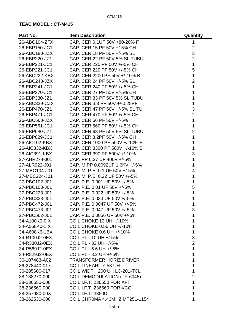| Part No.      | <b>Item Description</b>            | Quantity       |
|---------------|------------------------------------|----------------|
| 26-ABC104-ZFX | CAP. CER 0.1UF 50V +80-20% F       | 1              |
| 26-EBP150-JC1 | CAP. CER 15 PF 50V +/-5% CH        | $\overline{2}$ |
| 26-ABC180-JZX | CAP. CER 18 PF 50V +/-5% SL        | 3              |
| 26-EBP220-JZ1 | CAP. CER 22 PF 50V 5% SL TUBU      | $\overline{2}$ |
| 26-EBP221-JC1 | CAP. CER 220 PF 50V +/-5% CH       | 1              |
| 26-EBP221-JC1 | CAP. CER 220 PF 50V +/-5% CH       | 5              |
| 26-ABC222-KBX | CAP. CER 2200 PF 50V +/-10% B      | 1              |
| 26-ABC240-JZX | CAP, CER 24 PF 50V +/-5% SL        | $\overline{2}$ |
| 26-EBP241-JC1 | CAP. CER 240 PF 50V +/-5% CH       | 1              |
| 26-EBP270-JC1 | CAP. CER 27 PF 50V +/-5% CH        | 1              |
| 26-EBP330-JZ1 | CAP. CER 33 PF 50V 5% SL TUBU      | 1              |
| 26-ABC339-CZX | CAP. CER 3.3 PF 50V +/-0.25PF      | 1              |
| 26-EBP470-JZ1 | CAP. CER 47 PF 50V +/-5% SL TU     | 3              |
| 26-EBP471-JC1 | CAP. CER 470 PF 50V +/-5% CH       | $\overline{2}$ |
| 26-ABC560-JZX | CAP. CER 56 PF 50V +/-5%           | 1              |
| 26-EBP561-JC1 | CAP. CER 560 PF 50V +/-5% CH       | 1              |
| 26-EBP680-JZ1 | CAP. CER 68 PF 50V 5% SL TUBU      | $\overline{2}$ |
| 26-EBP829-JC1 | CAP. CER 8.2PF 50V +/-5% CH        | 1              |
| 26-AIC102-KBX | CAP. CER 1000 PF 500V +/-10% B     | 1              |
| 26-AIC332-KBX | CAP. CER 3300 PF 500V +/-10% B     | 1              |
| 26-AIC391-KBX | CAP. CER 390 PF 500V +/-10%        | 3              |
| 27-AHR274-J01 | CAP. PP 0.27 UF 400V +/-5%         | 1              |
| 27-ALR922-J01 | CAP. M.PP 0.0092UF 1.6KV +/-5%     | 1              |
| 27-MBC104-J01 | CAP. M. P.E. 0.1 UF 50V +/-5%      | $\overline{4}$ |
| 27-MBC224-J01 | CAP. M. P.E. 0.22 UF 50V +/-5%     | 1              |
| 27-PBC102-J01 | CAP. P.E. 0.001 UF 50V +/-5%       | 1              |
| 27-PBC103-J01 | CAP. P.E. 0.01 UF 50V +/-5%        | 5              |
| 27-PBC223-J01 | CAP. P.E. 0.022 UF 50V +/-5%       | 1              |
| 27-PBC333-J01 | CAP. P.E. 0.033 UF 50V +/-5%       |                |
| 27-PBC472-J01 | CAP. P.E. 0.0047 UF 50V +/-5%      | 1              |
| 27-PBC473-J01 | CAP. P.E. 0.047 UF 50V +/-5%       | 3              |
| 27-PBC562-J01 | CAP, P.E. 0.0056 UF 50V +/-5%      | 1              |
| 34-A100K0-0IX | <b>COIL CHOKE 10 UH +/-10%</b>     | 1              |
| 34-A568K0-1IX | COIL CHOKE 0.56 UH +/-10%          |                |
| 34-A608K6-1BX | COIL CHOKE 0.6 UH +/-10%           | 1              |
| 34-R100J2-0EX | COIL PL - 10 UH +/-5%              | 3              |
| 34-R330J2-0EX | COIL PL - 33 UH +/-5%              | $\overline{2}$ |
| 34-R569J2-0EX | COIL PL - 5.6 UH +/-5%             | 1              |
| 34-R829J2-0EX | COIL PL - 8.2 UH +/-5%             | 1              |
| 36-107483-A02 | <b>TRANSFORMER HORIZ DRIVER</b>    | 1              |
| 36-278440-017 | <b>COIL LINEARITY 58 UH</b>        | 1              |
| 36-285600-017 | COIL WIDTH 200 UH LC-201-TCL       | 1              |
| 38-138270-000 | <b>COIL DEMODULATION (TY-6045)</b> | $\overline{2}$ |
| 38-236550-000 | <b>COIL I.F.T. 236550 FOR AFT</b>  | 1              |
| 38-236560-000 | <b>COIL I.F.T. 236560 FOR VCO</b>  | 1              |
| 38-257980-00X | <b>COIL I.F.T. 3350D</b>           |                |
| 38-262530-000 | COIL CHROMA 4.43MHZ MT251-1154     | 1              |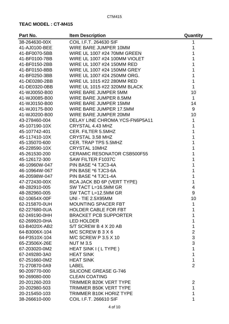| Part No.      | <b>Item Description</b>            | Quantity       |
|---------------|------------------------------------|----------------|
| 38-264630-00X | <b>COIL I.F.T. 264630 SIF</b>      | 1              |
| 41-AJ0100-BEE | <b>WIRE BARE JUMPER 10MM</b>       | 1              |
| 41-BF0070-5BB | <b>WIRE UL 1007 #24 70MM GREEN</b> | 1              |
| 41-BF0100-7BB | WIRE UL 1007 #24 100MM VIOLET      | 1              |
| 41-BF0150-2BB | WIRE UL 1007 #24 150MM RED         | 1              |
| 41-BF0150-8BB | WIRE UL 1007 #24 150MM GREY        | 1              |
| 41-BF0250-3BB | WIRE UL 1007 #24 250MM ORG.        | 1              |
| 41-DE0280-2BB | WIRE UL 1015 #22 280MM RED         | 1              |
| 41-DE0320-0BB | WIRE UL 1015 #22 320MM BLACK       | $\overline{1}$ |
| 41-WJ0050-B00 | WIRE BARE JUMPER 5MM               | 10             |
| 41-WJ0085-B00 | WIRE BARE JUMPER 8.5MM             | $\mathbf{1}$   |
| 41-WJ0150-B00 | <b>WIRE BARE JUMPER 15MM</b>       | 14             |
| 41-WJ0175-B00 | WIRE BARE JUMPER 17.5MM            | 9              |
| 41-WJ0200-B00 | <b>WIRE BARE JUMPER 20MM</b>       | 10             |
| 43-278460-004 | DELAY LINE CHROMA YCS-FN6P5A11     | $\mathbf 1$    |
| 45-107190-10X | CRYSTAL 4.43 MHZ                   | 1              |
| 45-107742-401 | <b>CER. FILTER 5.5MHZ</b>          | 1              |
| 45-117410-10X | CRYSTAL 3.58 MHZ                   | 1              |
| 45-135070-600 | <b>CER. TRAP TPS 5.5MHZ</b>        | 1              |
| 45-228590-10X | <b>CRYSTAL 10MHZ</b>               | 1              |
| 45-261530-200 | <b>CERAMIC RESONATOR CSB500F55</b> | 1              |
| 45-126172-300 | <b>SAW FILTER F1037C</b>           | 1              |
| 46-10960W-047 | PIN BASE *4 TJC3-4A                | 1              |
| 46-10964W-067 | PIN BASE *6 TJC3-6A                | 1              |
| 46-20598W-047 | PIN BASE *4 TJC1-4A                | 1              |
| 47-272430-00X | RCA JACK BD 6P (VERT TYPE)         | 1              |
| 48-282910-005 | SW TACT L=16.5MM GR                | $\overline{4}$ |
| 48-282960-005 | SW TACT L=12.5MM GR                | 9              |
| 62-10654X-00F | <b>UNI - TIE 2.5X95MM</b>          | 10             |
| 62-215870-0UH | <b>MOUNTING SPACER FBT</b>         | 1              |
| 62-227680-0UA | <b>HOLDER CABLE FOR FBT</b>        |                |
| 62-249190-0HH | <b>BRACKET PCB SUPPORTER</b>       |                |
| 62-269920-0HA | <b>LED HOLDER</b>                  |                |
| 63-B4020X-AB2 | S/T SCREW B 4 X 20 AB              | 1              |
| 64-B3006X-104 | M/C SCREW B $3 X 6$                | $\overline{c}$ |
| 64-P3510X-104 | <b>M/C SCREW P 3.5 X 10</b>        | 3              |
| 65-Z3506X-26E | <b>NUT M 3.5</b>                   | 3              |
| 67-203020-0M2 | HEAT SINK I (L TYPE)               | 1              |
| 67-249280-3A0 | <b>HEAT SINK</b>                   | 1              |
| 67-251660-0M2 | <b>HEAT SINK</b>                   | 1              |
| 71-270870-0A9 | LABEL                              | $\overline{2}$ |
| 90-209770-000 | <b>SILICONE GREASE G-746</b>       |                |
| 90-269080-000 | <b>CLEAN COATING</b>               |                |
| 20-201260-203 | <b>TRIMMER B20K VERT TYPE</b>      | $\overline{2}$ |
| 20-202980-503 | <b>TRIMMER B50K VERT TYPE</b>      | 1              |
| 20-215450-103 | <b>TRIMMER B10K HORIZ TYPE</b>     | 1              |
| 38-266610-000 | COIL I.F.T. 266610 SIF             | 1              |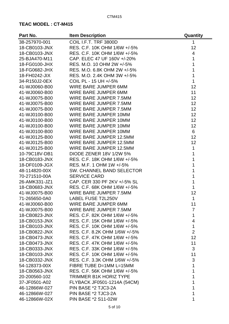| Part No.      | <b>Item Description</b>        | Quantity       |
|---------------|--------------------------------|----------------|
| 38-257970-001 | COIL I.F.T. TRF 3800D          | 1              |
| 18-CB0103-JNX | RES. C.F. 10K OHM 1/6W +/-5%   | 12             |
| 18-CB0103-JNX | RES. C.F. 10K OHM 1/6W +/-5%   | $\overline{4}$ |
| 25-BJA470-M11 | CAP. ELEC 47 UF 160V +/-20%    | $\overline{1}$ |
| 18-FG0100-JHX | RES. M.O. 10 OHM 2W +/-5%      | 1              |
| 18-FG0682-JHX | RES. M.O. 6.8K OHM 2W +/-5%    | $\overline{1}$ |
| 18-FH0242-JIX | RES. M.O. 2.4K OHM 3W +/-5%    | $\mathbf 1$    |
| 34-R150J2-0EX | COIL PL - 15 UH +/-5%          | $\mathbf{1}$   |
| 41-WJ0060-B00 | WIRE BARE JUMPER 6MM           | 12             |
| 41-WJ0060-B00 | <b>WIRE BARE JUMPER 6MM</b>    | 11             |
| 41-WJ0075-B00 | WIRE BARE JUMPER 7.5MM         | 12             |
| 41-WJ0075-B00 | WIRE BARE JUMPER 7.5MM         | 12             |
| 41-WJ0075-B00 | WIRE BARE JUMPER 7.5MM         | 12             |
| 41-WJ0100-B00 | <b>WIRE BARE JUMPER 10MM</b>   | 12             |
| 41-WJ0100-B00 | <b>WIRE BARE JUMPER 10MM</b>   | 12             |
| 41-WJ0100-B00 | WIRE BARE JUMPER 10MM          | 12             |
| 41-WJ0100-B00 | <b>WIRE BARE JUMPER 10MM</b>   | 6              |
| 41-WJ0125-B00 | WIRE BARE JUMPER 12.5MM        | 12             |
| 41-WJ0125-B00 | <b>WIRE BARE JUMPER 12.5MM</b> | 12             |
| 41-WJ0125-B00 | <b>WIRE BARE JUMPER 12.5MM</b> | 1              |
| 10-79C18V-DB1 | <b>DIODE ZENER 18V 1/2W 5%</b> | 1              |
| 18-CB0183-JNX | RES. C.F. 18K OHM 1/6W +/-5%   | $\mathbf{1}$   |
| 18-DF0109-JGX | RES. M.F. 1 OHM 1W +/-5%       | 1              |
| 48-114820-00X | SW. CHANNEL BAND SELECTOR      | 1              |
| 70-271510-00A | <b>SERVICE CARD</b>            | 1              |
| 26-AMK331-JZ1 | CAP. CER 330 PF 2KV +/-5% SL   | 1              |
| 18-CB0683-JNX | RES. C.F. 68K OHM 1/6W +/-5%   | $\mathbf{1}$   |
| 41-WJ0075-B00 | <b>WIRE BARE JUMPER 7.5MM</b>  | 12             |
| 71-265650-0A0 | <b>LABEL FUSE T2L250V</b>      | 1              |
| 41-WJ0060-B00 | WIRE BARE JUMPER 6MM           | 11             |
| 41-WJ0075-B00 | WIRE BARE JUMPER 7.5MM         | 7              |
| 18-CB0823-JNX | RES. C.F. 82K OHM 1/6W +/-5%   | 1              |
| 18-CB0153-JNX | RES. C.F. 15K OHM 1/6W +/-5%   | 4              |
| 18-CB0103-JNX | RES. C.F. 10K OHM 1/6W +/-5%   | $\mathbf{1}$   |
| 18-CB0822-JNX | RES. C.F. 8.2K OHM 1/6W +/-5%  | $\overline{2}$ |
| 18-CB0473-JNX | RES. C.F. 47K OHM 1/6W +/-5%   | 12             |
| 18-CB0473-JNX | RES. C.F. 47K OHM 1/6W +/-5%   | 11             |
| 18-CB0333-JNX | RES. C.F. 33K OHM 1/6W +/-5%   | 3              |
| 18-CB0103-JNX | RES. C.F. 10K OHM 1/6W +/-5%   | 11             |
| 18-CB0332-JNX | RES. C.F. 3.3K OHM 1/6W +/-5%  | 3              |
| 54-128373-00X | FIBRE TUBE D=1MM L=15MM        | 1              |
| 18-CB0563-JNX | RES. C.F. 56K OHM 1/6W +/-5%   | 1              |
| 20-200560-102 | <b>TRIMMER B1K HORIZ TYPE</b>  | 1              |
| 37-JF0501-A02 | FLYBACK JF0501-1214A (54CM)    | 1              |
| 46-12866W-027 | PIN BASE *2 TJC3-2A            | 1              |
| 46-12866W-027 | PIN BASE *2 TJC3-2A            | 1              |
| 46-12866W-02X | <b>PIN BASE *2 S11-02W</b>     | 1              |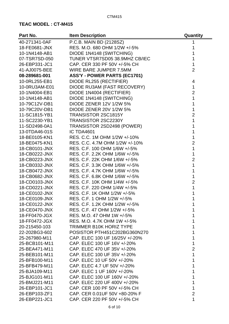| Part No.      | <b>Item Description</b>             | Quantity       |
|---------------|-------------------------------------|----------------|
| 40-271341-0AF | P.C.B. MAIN BD (2128SZ)             | 1              |
| 18-FE0681-JNX | RES. M.O. 680 OHM 1/2W +/-5%        | 1              |
| 10-1N4148-AB1 | DIODE 1N4148 (SWITCHING)            | 1              |
| 07-TSR7SD-050 | TUNER VTSR7SD05 38.9MHZ CB/IEC      | 1              |
| 26-EBP331-JC1 | CAP. CER 330 PF 50V +/-5% CH        | 1              |
| 41-AJ0075-BEE | WIRE BARE JUMPER 7.5MM              | $\overline{2}$ |
| 08-289681-001 | <b>ASS'Y - POWER PARTS (EC1701)</b> |                |
| 10-0RL255-EB1 | DIODE RL255 (RECTIFIER)             | 4              |
| 10-0RU3AM-E01 | DIODE RU3AM (FAST RECOVERY)         | 1              |
| 10-1N4004-EB1 | DIODE 1N4004 (RECTIFIER)            | $\overline{2}$ |
| 10-1N4148-AB1 | DIODE 1N4148 (SWITCHING)            | 1              |
| 10-79C12V-DB1 | <b>DIODE ZENER 12V 1/2W 5%</b>      | 1              |
| 10-79C20V-DB1 | <b>DIODE ZENER 20V 1/2W 5%</b>      | 1              |
| 11-SC1815-YB1 | <b>TRANSISTOR 2SC1815Y</b>          | $\overline{2}$ |
| 11-SC2230-YB1 | TRANSISTOR 2SC2230Y                 | 1              |
| 11-SD2498-0A1 | TRANSISTOR 2SD2498 (POWER)          | 1              |
| 13-0TDA46-01S | IC TDA4601                          | 1              |
| 18-BE0105-KN1 | RES. C.C. 1M OHM 1/2W +/-10%        | 1              |
| 18-BE0475-KN1 | RES. C.C. 4.7M OHM 1/2W +/-10%      | $\overline{2}$ |
| 18-CB0101-JNX | RES. C.F. 100 OHM 1/6W +/-5%        | 1              |
| 18-CB0222-JNX | RES. C.F. 2.2K OHM 1/6W +/-5%       | 1              |
| 18-CB0223-JNX | RES. C.F. 22K OHM 1/6W +/-5%        | $\overline{2}$ |
| 18-CB0332-JNX | RES. C.F. 3.3K OHM 1/6W +/-5%       | 1              |
| 18-CB0472-JNX | RES. C.F. 4.7K OHM 1/6W +/-5%       | 1              |
| 18-CB0682-JNX | RES. C.F. 6.8K OHM 1/6W +/-5%       | 1              |
| 18-CD0103-JNX | RES. C.F. 10K OHM 1/4W +/-5%        | $\overline{2}$ |
| 18-CD0221-JNX | RES. C.F. 220 OHM 1/4W +/-5%        | 1              |
| 18-CE0102-JNX | RES. C.F. 1K OHM 1/2W +/-5%         | 1              |
| 18-CE0109-JNX | RES. C.F. 1 OHM 1/2W +/-5%          |                |
| 18-CE0122-JNX | RES. C.F. 1.2K OHM 1/2W +/-5%       |                |
| 18-CE0470-JNX | RES. C.F. 47 OHM 1/2W +/-5%         |                |
| 18-FF0470-JGX | RES. M.O. 47 OHM 1W +/-5%           |                |
| 18-FF0472-JGX | RES. M.O. 4.7K OHM 1W +/-5%         |                |
| 20-215450-103 | <b>TRIMMER B10K HORIZ TYPE</b>      |                |
| 22-202BG3-602 | POSISTOR PTH451C202BG360N270        |                |
| 25-267980-M11 | CAP. ELEC 100 UF 16/25V +/-20%      | 1              |
| 25-BCB101-M11 | CAP. ELEC 100 UF 16V +/-20%         |                |
| 25-BEA471-M11 | CAP. ELEC 470 UF 35V +/-20%         | $\overline{2}$ |
| 25-BEB101-M11 | CAP. ELEC 100 UF 35V +/-20%         | 1              |
| 25-BFB100-M11 | CAP. ELEC 10 UF 50V +/-20%          |                |
| 25-BFB479-M11 | CAP. ELEC 4.7 UF 50V +/-20%         |                |
| 25-BJA109-M11 | CAP. ELEC 1 UF 160V +/-20%          |                |
| 25-BJG101-M11 | CAP. ELEC 100 UF 160V +/-20%        |                |
| 25-BMJ221-M11 | CAP. ELEC 220 UF 400V +/-20%        |                |
| 26-EBP101-JC1 | CAP. CER 100 PF 50V +/-5% CH        | 1              |
| 26-EBP103-ZF1 | CAP. CER 0.01UF 50V +80-20% F       | $\overline{2}$ |
| 26-EBP221-JC1 | CAP. CER 220 PF 50V +/-5% CH        | 1              |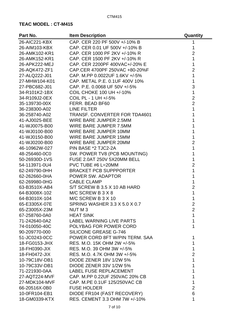| Part No.      | <b>Item Description</b>              | Quantity       |
|---------------|--------------------------------------|----------------|
| 26-AIC221-KBX | CAP. CER 220 PF 500V +/-10% B        | 1              |
| 26-AIM103-KBX | CAP. CER 0.01 UF 500V +/-10% B       | 1              |
| 26-AMK102-KR1 | CAP. CER 1000 PF 2KV +/-10% R        | $\overline{2}$ |
| 26-AMK152-KR1 | CAP. CER 1500 PF 2KV +/-10% R        | $\mathbf 1$    |
| 26-APK222-MEJ | CAP. CER 2200PF 400VAC+/-20% E       | $\mathbf 1$    |
| 26-AQK472-ZF1 | CAP.CER 4700PF 250VAC +80-20%F       | $\overline{2}$ |
| 27-ALQ222-J01 | CAP. M.PP 0.0022UF 1.6KV +/-5%       | 1              |
| 27-MHW104-K01 | CAP. METAL P.E. 0.1UF 400V 10%       | $\mathbf{1}$   |
| 27-PBC682-J01 | CAP. P.E. 0.0068 UF 50V +/-5%        | 3              |
| 34-R101K2-1BX | <b>COIL CHOKE 100 UH +/-10%</b>      | $\mathbf 1$    |
| 34-R109J2-0EX | COIL PL - 1 UH +/-5%                 | $\overline{2}$ |
| 35-139730-00X | FERR. BEAD BF60                      | $\overline{2}$ |
| 36-238300-A02 | <b>LINE FILTER</b>                   | $\overline{1}$ |
| 36-258740-A02 | <b>TRANSF. CONVERTER FOR TDA4601</b> | 1              |
| 41-AJ0025-BEE | WIRE BARE JUMPER 2.5MM               | 1              |
| 41-WJ0075-B00 | WIRE BARE JUMPER 7.5MM               | 1              |
| 41-WJ0100-B00 | <b>WIRE BARE JUMPER 10MM</b>         | 1              |
| 41-WJ0150-B00 | WIRE BARE JUMPER 15MM                | 1              |
| 41-WJ0200-B00 | WIRE BARE JUMPER 20MM                | $\overline{2}$ |
| 46-10962W-027 | PIN BASE *2 TJC2-2A                  | 1              |
| 48-256460-0C0 | SW. POWER TV8 (PCB MOUNTING)         | $\overline{1}$ |
| 50-26930D-1VS | FUSE 2.0AT 250V 5X20MM BELL          | 1              |
| 54-113971-0U4 | PVC TUBE #6 L=20MM                   | $\overline{2}$ |
| 62-249790-0HH | <b>BRACKET PCB SUPPPORTER</b>        | 1              |
| 62-262660-0HA | POWER SW. ADAPTOR                    | 1              |
| 62-269980-0HG | <b>CABLE CLAMP</b>                   | 1              |
| 63-B3510X-AB4 | S/T SCREW B 3.5 X 10 AB HARD         | $\overline{2}$ |
| 64-B3008X-102 | M/C SCREW B 3 X 8                    | 1              |
| 64-B3010X-104 | M/C SCREW B 3 X 10                   | 1              |
| 65-E3305X-07E | <b>SPRING WASHER 3.3 X 5.0 X 0.7</b> | $\overline{2}$ |
| 65-Z3005X-23M | NUT M 3                              | $\overline{2}$ |
| 67-258760-0A0 | <b>HEAT SINK</b>                     | 1              |
| 71-242640-0A2 | LABEL WARNING LIVE PARTS             | 1              |
| 74-010050-40C | POLYBAG FOR POWER CORD               | 1              |
| 90-209770-000 | <b>SILICONE GREASE G-746</b>         |                |
| 51-JC0243-0CC | POWER CORD 8FT W/PIN TERM. SAA       | 1              |
| 18-FG0153-JHX | RES. M.O. 15K OHM 2W +/-5%           | 1              |
| 18-FH0390-JIX | RES, M.O. 39 OHM 3W +/-5%            | 1              |
| 18-FH0472-JIX | RES. M.O. 4.7K OHM 3W +/-5%          | $\overline{2}$ |
| 10-79C18V-DB1 | <b>DIODE ZENER 18V 1/2W 5%</b>       | 1              |
| 10-79C33V-DB1 | <b>DIODE ZENER 33V 1/2W 5%</b>       | 1              |
| 71-221930-0AA | <b>LABEL FUSE REPLACEMENT</b>        | 1              |
| 27-AQT224-MVF | CAP. M.PP 0.22UF 250VAC 20% CB       | 1              |
| 27-MDK104-MVF | CAP. M.PE 0.1UF 125/250VAC CB        | 1              |
| 66-20516X-0B0 | <b>FUSE HOLDER</b>                   | $\overline{2}$ |
| 10-0FR104-EB1 | DIODE FR104 (FAST RECOVERY)          | 6              |
| 18-GM0339-KTX | RES. CEMENT 3.3 OHM 7W +/-10%        | 1              |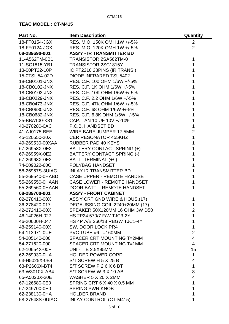| Part No.        | <b>Item Description</b>            | Quantity                |
|-----------------|------------------------------------|-------------------------|
| 18-FF0154-JGX   | RES. M.O. 150K OMH 1W +/-5%        | 2                       |
| 18-FF0124-JGX   | RES. M.O. 120K OMH 1W +/-5%        | $\overline{2}$          |
| 08-289690-001   | <b>ASS'Y - IR TRANSMITTER BD</b>   |                         |
| 11-A562TM-0B1   | TRANSISTOR 2SA562TM-0              | 1                       |
| 11-SC1815-YB1   | TRANSISTOR 2SC1815Y                | 1                       |
| 13-00PT22-10P   | IC PT2210 28PINS (IR TRANS.)       | 1                       |
| 15-0TSU54-02D   | <b>DIODE INFRARED TSU5402</b>      |                         |
| 18-CB0101-JNX   | RES. C.F. 100 OHM 1/6W +/-5%       | 1                       |
| 18-CB0102-JNX   | RES. C.F. 1K OHM 1/6W +/-5%        |                         |
| 18-CB0103-JNX   | RES. C.F. 10K OHM 1/6W +/-5%       | 1                       |
| 18-CB0229-JNX   | RES. C.F. 2.2 OHM 1/6W +/-5%       | 1                       |
| 18-CB0473-JNX   | RES. C.F. 47K OHM 1/6W +/-5%       |                         |
| 18-CB0680-JNX   | RES. C.F. 68 OHM 1/6W +/-5%        | 1                       |
| 18-CB0682-JNX   | RES. C.F. 6.8K OHM 1/6W +/-5%      |                         |
| 25-BBA100-K31   | CAP. TAN 10 UF 10V +/-10%          | 1                       |
| 40-270280-0AC   | P.C.B. HANDSET BD                  | 1                       |
| 41-AJ0175-BEE   | WIRE BARE JUMPER 17.5MM            | $\overline{2}$          |
| 45-120550-20X   | <b>CER RESONATOR 455KHZ</b>        | 1                       |
| 49-269530-00XAA | <b>RUBBER PAD 40 KEYS</b>          | 1                       |
| 67-26958X-0E2   | BATTERY CONTACT SPRING (+)         | 1                       |
| 67-26959X-0E2   | BATTERY CONTACT SPRING (-)         | 1                       |
| 67-26968X-0E2   | BATT. TERMINAL (+/-)               | 1                       |
| 74-009022-60C   | POLYBAG HANDSET                    | 1                       |
| 58-26957S-3UIAC | <b>INLAY IR TRANSMITTER BD</b>     | 1                       |
| 55-269540-0HABD | <b>CASE UPPER - REMOTE HANDSET</b> | 1                       |
| 55-269550-0HAAN | <b>CASE LOWER - REMOTE HANDSET</b> | 1                       |
| 55-269560-0HAAN | DOOR BATT. - REMOTE HANDSET        | 1                       |
| 08-289700-001   | <b>ASS'Y - FRONT CABINET</b>       |                         |
| 02-278410-00X   | ASS'Y CRT GND WIRE & HOUS.(17)     | 1                       |
| 36-278420-017   | DEGAUSSING COIL 2240+20MM (17)     | 1                       |
| 42-272410-00X   | SPEAKER 50X120MM 16 OHM 3W D50     | $\overline{2}$          |
| 46-14026H-027   | HS 2P24 570/7 F/W TJC3-2Y          | 1                       |
| 46-20600H-047   | HS 4P A/B 360/13 RBGW TJC1-4Y      | 1                       |
| 48-259140-00X   | SW. DOOR LOCK PR4                  | 1                       |
| 54-113971-0UE   | PVC TUBE #6 L=160MM                | $\overline{2}$          |
| 54-205140-000   | SPACER CRT MOUNTING T=2MM          | $\overline{\mathbf{4}}$ |
| 54-271620-000   | SPACER CRT MOUNTING T=1MM          | $\overline{4}$          |
| 62-10654X-00F   | <b>UNI - TIE 2.5X95MM</b>          | 15                      |
| 62-269930-0UA   | <b>HOLDER POWER CORD</b>           | 1                       |
| 63-H5025X-0B4   | S/T SCREW H 5 X 25 B               | 4                       |
| 63-P2606X-BT4   | S/T SCREW P 2.6 X 6 BT             | 1                       |
| 63-W3010X-AB4   | S/T SCREW W 3 X 10 AB              | 8                       |
| 65-A5020X-20E   | WASHER 5 X 20 X 2MM                | $\overline{4}$          |
| 67-126680-0E0   | SPRING CRT 6 X 40 X 0.5 MM         | 1                       |
| 67-249700-0E0   | <b>SPRING PWR KNOB</b>             | 1                       |
| 62-238130-0HA   | <b>HOLDER BRAND</b>                | 1                       |
| 58-27548S-0UIAC | <b>INLAY CONTROL (CT-M415)</b>     | 1                       |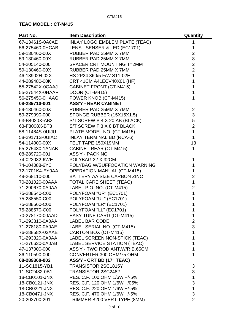| Part No.        | <b>Item Description</b>               | Quantity       |
|-----------------|---------------------------------------|----------------|
| 67-13461S-0A0AE | <b>INLAY LOGO EMBLEM PLATE (TEAC)</b> | 1              |
| 56-275460-0HCAB | LENS - SENSER & LED (EC1701)          | 1              |
| 59-130460-00X   | RUBBER PAD 25MM X 7MM                 | $\overline{2}$ |
| 59-130460-00X   | RUBBER PAD 25MM X 7MM                 | 8              |
| 54-205140-000   | SPACER CRT MOUNTING T=2MM             | $\overline{2}$ |
| 59-130460-00X   | RUBBER PAD 25MM X 7MM                 | $\overline{2}$ |
| 46-13902H-02X   | HS 2P24 360/5 F/W S11-02H             | 1              |
| 44-289480-00K   | CRT 41CM A41ECV40X01 (HF)             | 1              |
| 55-27542X-0CAAJ | <b>CABINET FRONT (CT-M415)</b>        | 1              |
| 55-27544X-0HAAP | DOOR (CT-M415)                        | 1              |
| 56-275450-0HAAG | POWER KNOB (CT-M415)                  | 1              |
| 08-289710-001   | <b>ASS'Y - REAR CABINET</b>           |                |
| 59-130460-00X   | RUBBER PAD 25MM X 7MM                 | $\overline{2}$ |
| 59-279090-000   | SPONGE RUBBER (15X15X1.5)             | 3              |
| 63-B4020X-AB3   | S/T SCREW B 4 X 20 AB (BLACK)         | 5              |
| 63-F3008X-BT3   | S/T SCREW F 3 X 8 BT BLACK            | $\overline{2}$ |
| 58-11484S-0UIJU | PLATE MODEL NO. (CT-M415)             | 1              |
| 58-29171S-0UIAC | <b>INLAY TERMINAL BD (RCA-6)</b>      | 1              |
| 54-114000-00X   | FELT TAPE 150X19MM                    | 13             |
| 55-275430-1ANAB | CABINET REAR (CT-M415)                | 1              |
| 08-289720-001   | <b>ASS'Y - PACKING</b>                |                |
| 74-022032-6WE   | POLYBAG 22 X 32CM                     | 1              |
| 74-104088-6YC   | POLYBAG W/SUFFOCATION WARNING         | 1              |
| 72-1701K4-EY0AA | <b>OPERATION MANUAL (CT-M415)</b>     | 1              |
| 49-268110-000   | BATTERY AA SIZE CARBON ZINC           | $\overline{c}$ |
| 70-281020-00AAA | <b>TOTAL CARE SHEET (TEAC)</b>        | 1              |
| 71-290670-0A0AA | LABEL P.O. NO. (CT-M415)              | $\overline{2}$ |
| 75-288540-C00   | POLYFOAM "UR" (EC1701)                | 1              |
| 75-288550-C00   | POLYFOAM "UL" (EC1701)                | 1              |
| 75-288560-C00   | POLYFOAM "LR" (EC1701)                | 1              |
| 75-288570-C00   | POLYFOAM "LL" (EC1701)                | 1              |
| 70-278170-00AAD | <b>EASY TUNE CARD (CT-M415)</b>       | 1              |
| 71-293810-0A0AA | <b>LABEL BAR CODE</b>                 | $\overline{2}$ |
| 71-278180-0A0AE | LABEL SERIAL NO. (CT-M415)            | 3              |
| 76-28858X-02AAB | CARTON BOX (CT-M415)                  | 1              |
| 71-293820-0A0AA | LABEL SCREEN NON-STICK (TEAC)         | 1              |
| 71-276630-0A0AB | LABEL SERVICE STATION (TEAC)          | 1              |
| 47-137000-000   | ASS'Y - TWO ROD ANT.W/RIB.65CM        | 1              |
| 36-110590-000   | CONVERTER 300 OHM/75 OHM              | 1              |
| 08-289360-002   | ASS'Y - CRT BD (17" TEAC)             |                |
| 11-SC1815-YB1   | TRANSISTOR 2SC1815Y                   | 3              |
| 11-SC2482-0B1   | TRANSISTOR 2SC2482                    | 3              |
| 18-CB0101-JNX   | RES. C.F. 100 OHM 1/6W +/-5%          | 1              |
| 18-CB0121-JNX   | RES. C.F. 120 OHM 1/6W +/05%          | 3              |
| 18-CB0221-JNX   | RES. C.F. 220 OHM 1/6W +/-5%          | 1              |
| 18-CB0471-JNX   | RES. C.F. 470 OHM 1/6W +/-5%          | 3              |
| 20-203700-201   | TRIMMER B200 VERT TYPE (8MM)          | $\overline{2}$ |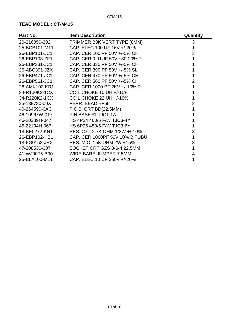| Part No.      | <b>Item Description</b>        | Quantity       |
|---------------|--------------------------------|----------------|
| 20-216050-302 | TRIMMER B3K VERT TYPE (8MM)    | 3              |
| 25-BCB101-M11 | CAP. ELEC 100 UF 16V +/-20%    |                |
| 26-EBP101-JC1 | CAP. CER 100 PF 50V +/-5% CH   | 3              |
| 26-EBP103-ZF1 | CAP. CER 0.01UF 50V +80-20% F  |                |
| 26-EBP331-JC1 | CAP. CER 330 PF 50V +/-5% CH   |                |
| 26-ABC391-JZX | CAP. CER 390 PF 50V +/-5% SL   |                |
| 26-EBP471-JC1 | CAP. CER 470 PF 50V +/-5% CH   |                |
| 26-EBP561-JC1 | CAP. CER 560 PF 50V +/-5% CH   | $\overline{2}$ |
| 26-AMK102-KR1 | CAP. CER 1000 PF 2KV +/-10% R  |                |
| 34-R100K2-1CX | <b>COIL CHOKE 10 UH +/-10%</b> |                |
| 34-R220K2-1CX | <b>COIL CHOKE 22 UH +/-10%</b> |                |
| 35-139730-00X | FERR. BEAD BF60                | 2              |
| 40-264590-0AC | P.C.B. CRT BD(22.5MM)          |                |
| 46-10967W-017 | PIN BASE *1 TJC1-1A            |                |
| 46-20389H-047 | HS 4P24 460/5 F/W TJC3-4Y      |                |
| 46-22134H-067 | HS 6P26 450/5 F/W TJC3-6Y      |                |
| 18-BE0272-KN1 | RES. C.C. 2.7K OHM 1/2W +/-10% | 3              |
| 26-EBP102-KB1 | CAP. CER 1000PF 50V 10% B TUBU | 1              |
| 18-FG0153-JHX | RES. M.O. 15K OHM 2W +/-5%     | 3              |
| 47-208530-007 | SOCKET CRT GZS 8-6-4 22.5MM    |                |
| 41-WJ0075-B00 | WIRE BARE JUMPER 7.5MM         | 4              |
| 25-BLA100-M11 | CAP. ELEC 10 UF 250V +/-20%    |                |